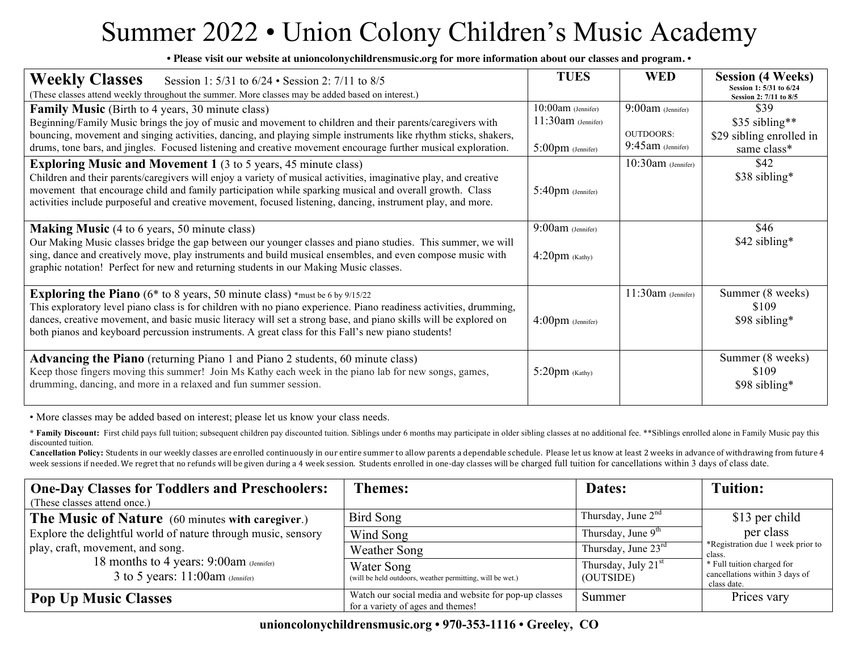## Summer 2022 • Union Colony Children's Music Academy

**• Please visit our website at unioncolonychildrensmusic.org for more information about our classes and program. •**

| <b>Weekly Classes</b><br>Session 1: 5/31 to 6/24 • Session 2: 7/11 to 8/5<br>(These classes attend weekly throughout the summer. More classes may be added based on interest.)                                                                                                                                                                                                                                                          | <b>TUES</b>                                                                   | <b>WED</b>                                                      | <b>Session (4 Weeks)</b><br>Session 1: 5/31 to 6/24<br>Session 2: 7/11 to 8/5 |
|-----------------------------------------------------------------------------------------------------------------------------------------------------------------------------------------------------------------------------------------------------------------------------------------------------------------------------------------------------------------------------------------------------------------------------------------|-------------------------------------------------------------------------------|-----------------------------------------------------------------|-------------------------------------------------------------------------------|
| <b>Family Music</b> (Birth to 4 years, 30 minute class)<br>Beginning/Family Music brings the joy of music and movement to children and their parents/caregivers with<br>bouncing, movement and singing activities, dancing, and playing simple instruments like rhythm sticks, shakers,<br>drums, tone bars, and jingles. Focused listening and creative movement encourage further musical exploration.                                | $10:00$ am (Jennifer)<br>$11:30$ am (Jennifer)<br>$5:00 \text{pm}$ (Jennifer) | $9:00$ am (Jennifer)<br><b>OUTDOORS:</b><br>$9:45am$ (Jennifer) | \$39<br>\$35 sibling**<br>\$29 sibling enrolled in<br>same class*             |
| <b>Exploring Music and Movement 1</b> (3 to 5 years, 45 minute class)<br>Children and their parents/caregivers will enjoy a variety of musical activities, imaginative play, and creative<br>movement that encourage child and family participation while sparking musical and overall growth. Class<br>activities include purposeful and creative movement, focused listening, dancing, instrument play, and more.                     | $5:40\text{pm}$ (Jennifer)                                                    | $10:30$ am (Jennifer)                                           | \$42<br>\$38 sibling*                                                         |
| <b>Making Music</b> (4 to 6 years, 50 minute class)<br>Our Making Music classes bridge the gap between our younger classes and piano studies. This summer, we will<br>sing, dance and creatively move, play instruments and build musical ensembles, and even compose music with<br>graphic notation! Perfect for new and returning students in our Making Music classes.                                                               | $9:00$ am (Jennifer)<br>$4:20pm$ (Kathy)                                      |                                                                 | \$46<br>\$42 sibling*                                                         |
| <b>Exploring the Piano</b> ( $6*$ to 8 years, 50 minute class) $*$ must be 6 by 9/15/22<br>This exploratory level piano class is for children with no piano experience. Piano readiness activities, drumming,<br>dances, creative movement, and basic music literacy will set a strong base, and piano skills will be explored on<br>both pianos and keyboard percussion instruments. A great class for this Fall's new piano students! | $4:00 \text{pm}$ (Jennifer)                                                   | $11:30am$ (Jennifer)                                            | Summer (8 weeks)<br>\$109<br>\$98 sibling*                                    |
| <b>Advancing the Piano</b> (returning Piano 1 and Piano 2 students, 60 minute class)<br>Keep those fingers moving this summer! Join Ms Kathy each week in the piano lab for new songs, games,<br>drumming, dancing, and more in a relaxed and fun summer session.                                                                                                                                                                       | $5:20pm$ (Kathy)                                                              |                                                                 | Summer (8 weeks)<br>\$109<br>\$98 sibling*                                    |

• More classes may be added based on interest; please let us know your class needs.

\* Family Discount: First child pays full tuition; subsequent children pay discounted tuition. Siblings under 6 months may participate in older sibling classes at no additional fee. \*\*Siblings enrolled alone in Family Music discounted tuition.

Cancellation Policy: Students in our weekly classes are enrolled continuously in our entire summer to allow parents a dependable schedule. Please let us know at least 2 weeks in advance of withdrawing from future 4 week sessions if needed. We regret that no refunds will be given during a 4 week session. Students enrolled in one-day classes will be charged full tuition for cancellations within 3 days of class date.

| <b>One-Day Classes for Toddlers and Preschoolers:</b><br>(These classes attend once.) | <b>Themes:</b>                                                                             | Dates:                                       | <b>Tuition:</b>                                                             |
|---------------------------------------------------------------------------------------|--------------------------------------------------------------------------------------------|----------------------------------------------|-----------------------------------------------------------------------------|
| <b>The Music of Nature</b> (60 minutes with caregiver.)                               | Bird Song                                                                                  | Thursday, June $2nd$                         | \$13 per child                                                              |
| Explore the delightful world of nature through music, sensory                         | Wind Song                                                                                  | Thursday, June $9th$                         | per class                                                                   |
| play, craft, movement, and song.                                                      | Weather Song                                                                               | Thursday, June $23^{\text{rd}}$              | *Registration due 1 week prior to<br>class.                                 |
| 18 months to 4 years: 9:00am (Jennifer)<br>3 to 5 years: $11:00$ am (Jennifer)        | Water Song<br>(will be held outdoors, weather permitting, will be wet.)                    | Thursday, July 21 <sup>st</sup><br>(OUTSIDE) | * Full tuition charged for<br>cancellations within 3 days of<br>class date. |
| <b>Pop Up Music Classes</b>                                                           | Watch our social media and website for pop-up classes<br>for a variety of ages and themes! | Summer                                       | Prices vary                                                                 |

**unioncolonychildrensmusic.org • 970-353-1116 • Greeley, CO**